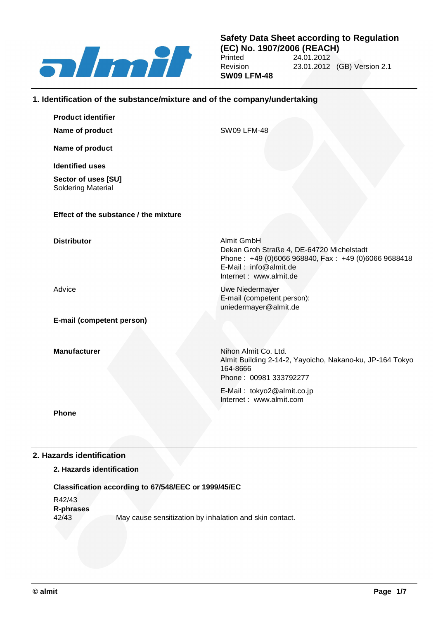

**Safety Data Sheet according to Regulation (EC) No. 1907/2006 (REACH)** 24.01.2012 Revision 23.01.2012 (GB) Version 2.1 **SW09 LFM-48**

# **1. Identification of the substance/mixture and of the company/undertaking**

| <b>Product identifier</b>                 |                                                                                                                                                                   |
|-------------------------------------------|-------------------------------------------------------------------------------------------------------------------------------------------------------------------|
| Name of product                           | <b>SW09 LFM-48</b>                                                                                                                                                |
| Name of product                           |                                                                                                                                                                   |
| <b>Identified uses</b>                    |                                                                                                                                                                   |
| Sector of uses [SU]<br>Soldering Material |                                                                                                                                                                   |
| Effect of the substance / the mixture     |                                                                                                                                                                   |
| <b>Distributor</b>                        | Almit GmbH<br>Dekan Groh Straße 4, DE-64720 Michelstadt<br>Phone: +49 (0)6066 968840, Fax: +49 (0)6066 9688418<br>E-Mail: info@almit.de<br>Internet: www.almit.de |
| Advice                                    | Uwe Niedermayer<br>E-mail (competent person):<br>uniedermayer@almit.de                                                                                            |
| E-mail (competent person)                 |                                                                                                                                                                   |
| <b>Manufacturer</b>                       | Nihon Almit Co. Ltd.<br>Almit Building 2-14-2, Yayoicho, Nakano-ku, JP-164 Tokyo<br>164-8666<br>Phone: 00981 333792277                                            |
|                                           | E-Mail: tokyo2@almit.co.jp<br>Internet: www.almit.com                                                                                                             |
| <b>Phone</b>                              |                                                                                                                                                                   |

# **2. Hazards identification**

# **2. Hazards identification**

### **Classification according to 67/548/EEC or 1999/45/EC**

R42/43 **R-phrases** 42/43 May cause sensitization by inhalation and skin contact.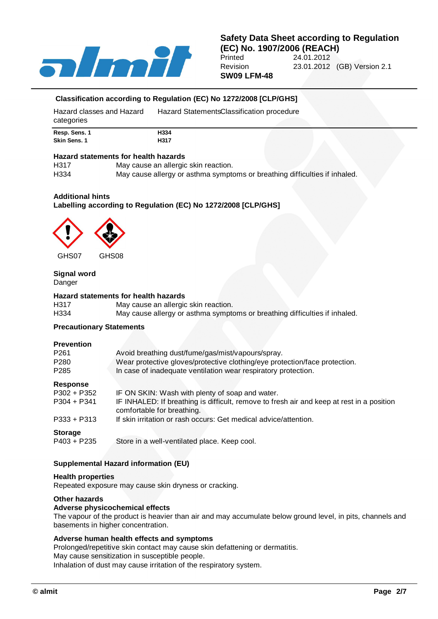

# **Safety Data Sheet according to Regulation (EC) No. 1907/2006 (REACH)** 24.01.2012 Revision 23.01.2012 (GB) Version 2.1

**SW09 LFM-48**

# **Classification according to Regulation (EC) No 1272/2008 [CLP/GHS]**

| Hazard classes and Hazard<br>categories | Hazard Statements Classification procedure |
|-----------------------------------------|--------------------------------------------|
| Resp. Sens. 1                           | H334                                       |
| Skin Sens, 1                            | H317                                       |

#### **Hazard statements for health hazards**

| H317 | May cause an allergic skin reaction.                                       |
|------|----------------------------------------------------------------------------|
| H334 | May cause allergy or asthma symptoms or breathing difficulties if inhaled. |

#### **Additional hints**

# **Labelling according to Regulation (EC) No 1272/2008 [CLP/GHS]**



GHS07 GHS08

# **Signal word**

Danger

# **Hazard statements for health hazards**

| H317             | May cause an allergic skin reaction.                                       |
|------------------|----------------------------------------------------------------------------|
| H <sub>334</sub> | May cause allergy or asthma symptoms or breathing difficulties if inhaled. |

#### **Precautionary Statements**

#### **Prevention**

| <b>.</b>            |                                                                                                                         |
|---------------------|-------------------------------------------------------------------------------------------------------------------------|
| P261                | Avoid breathing dust/fume/gas/mist/vapours/spray.                                                                       |
| P280                | Wear protective gloves/protective clothing/eye protection/face protection.                                              |
| P285                | In case of inadequate ventilation wear respiratory protection.                                                          |
| Response            |                                                                                                                         |
| P302 + P352         | IF ON SKIN: Wash with plenty of soap and water.                                                                         |
| P304 + P341         | IF INHALED: If breathing is difficult, remove to fresh air and keep at rest in a position<br>comfortable for breathing. |
| P333 + P313         | If skin irritation or rash occurs: Get medical advice/attention.                                                        |
| C <sub>forona</sub> |                                                                                                                         |

#### **Storage**

P403 + P235 Store in a well-ventilated place. Keep cool.

# **Supplemental Hazard information (EU)**

#### **Health properties**

Repeated exposure may cause skin dryness or cracking.

#### **Other hazards**

#### **Adverse physicochemical effects**

The vapour of the product is heavier than air and may accumulate below ground level, in pits, channels and basements in higher concentration.

# **Adverse human health effects and symptoms**

Prolonged/repetitive skin contact may cause skin defattening or dermatitis. May cause sensitization in susceptible people.

Inhalation of dust may cause irritation of the respiratory system.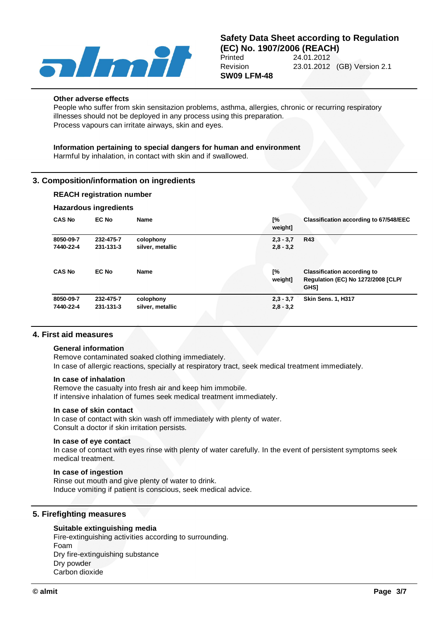

#### **Other adverse effects**

People who suffer from skin sensitazion problems, asthma, allergies, chronic or recurring respiratory illnesses should not be deployed in any process using this preparation. Process vapours can irritate airways, skin and eyes.

# **Information pertaining to special dangers for human and environment**

Harmful by inhalation, in contact with skin and if swallowed.

# **3. Composition/information on ingredients**

### **REACH registration number**

#### **Hazardous ingredients**

| <b>CAS No</b> | <b>EC No</b> | Name             | Г%<br>weight] | <b>Classification according to 67/548/EEC</b>                                                  |
|---------------|--------------|------------------|---------------|------------------------------------------------------------------------------------------------|
| 8050-09-7     | 232-475-7    | colophony        | $2,3 - 3,7$   | <b>R43</b>                                                                                     |
| 7440-22-4     | 231-131-3    | silver, metallic | $2,8 - 3,2$   |                                                                                                |
| <b>CAS No</b> | <b>EC No</b> | <b>Name</b>      | [%<br>weight] | <b>Classification according to</b><br><b>Regulation (EC) No 1272/2008 [CLP/</b><br><b>GHS1</b> |
| 8050-09-7     | 232-475-7    | colophony        | $2,3 - 3,7$   | <b>Skin Sens. 1. H317</b>                                                                      |
| 7440-22-4     | 231-131-3    | silver, metallic | $2,8 - 3,2$   |                                                                                                |

# **4. First aid measures**

#### **General information**

Remove contaminated soaked clothing immediately.

In case of allergic reactions, specially at respiratory tract, seek medical treatment immediately.

#### **In case of inhalation**

Remove the casualty into fresh air and keep him immobile. If intensive inhalation of fumes seek medical treatment immediately.

#### **In case of skin contact**

In case of contact with skin wash off immediately with plenty of water. Consult a doctor if skin irritation persists.

#### **In case of eye contact**

In case of contact with eyes rinse with plenty of water carefully. In the event of persistent symptoms seek medical treatment.

#### **In case of ingestion**

Rinse out mouth and give plenty of water to drink. Induce vomiting if patient is conscious, seek medical advice.

# **5. Firefighting measures**

# **Suitable extinguishing media**

Fire-extinguishing activities according to surrounding. Foam Dry fire-extinguishing substance Dry powder Carbon dioxide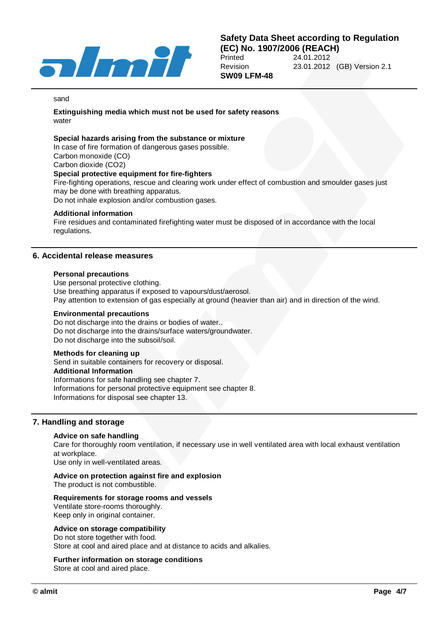

**SW09 LFM-48**

#### sand

**Extinguishing media which must not be used for safety reasons** water

#### **Special hazards arising from the substance or mixture**

In case of fire formation of dangerous gases possible. Carbon monoxide (CO) Carbon dioxide (CO2) **Special protective equipment for fire-fighters**

Fire-fighting operations, rescue and clearing work under effect of combustion and smoulder gases just may be done with breathing apparatus.

Do not inhale explosion and/or combustion gases.

#### **Additional information**

Fire residues and contaminated firefighting water must be disposed of in accordance with the local regulations.

### **6. Accidental release measures**

#### **Personal precautions**

Use personal protective clothing. Use breathing apparatus if exposed to vapours/dust/aerosol. Pay attention to extension of gas especially at ground (heavier than air) and in direction of the wind.

#### **Environmental precautions**

Do not discharge into the drains or bodies of water.. Do not discharge into the drains/surface waters/groundwater. Do not discharge into the subsoil/soil.

# **Methods for cleaning up**

Send in suitable containers for recovery or disposal. **Additional Information** Informations for safe handling see chapter 7. Informations for personal protective equipment see chapter 8. Informations for disposal see chapter 13.

### **7. Handling and storage**

#### **Advice on safe handling**

Care for thoroughly room ventilation, if necessary use in well ventilated area with local exhaust ventilation at workplace.

Use only in well-ventilated areas.

#### **Advice on protection against fire and explosion**

The product is not combustible.

#### **Requirements for storage rooms and vessels**

Ventilate store-rooms thoroughly. Keep only in original container.

#### **Advice on storage compatibility**

Do not store together with food. Store at cool and aired place and at distance to acids and alkalies.

#### **Further information on storage conditions**

Store at cool and aired place.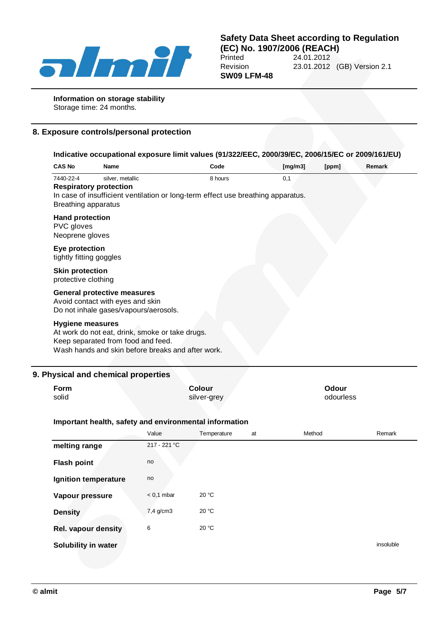

# **Safety Data Sheet according to Regulation (EC) No. 1907/2006 (REACH)**<br>Printed 24.01.2012 24.01.2012 Revision 23.01.2012 (GB) Version 2.1

**SW09 LFM-48**

**Information on storage stability**

Storage time: 24 months.

# **8. Exposure controls/personal protection**

| <b>CAS No</b>                                                                         | Name                                                                                                                                       | Code    | [mg/m3] | [ppm] | Remark |
|---------------------------------------------------------------------------------------|--------------------------------------------------------------------------------------------------------------------------------------------|---------|---------|-------|--------|
| 7440-22-4                                                                             | silver, metallic<br><b>Respiratory protection</b><br>In case of insufficient ventilation or long-term effect use breathing apparatus.      | 8 hours | 0,1     |       |        |
| <b>Breathing apparatus</b><br><b>Hand protection</b><br>PVC gloves<br>Neoprene gloves |                                                                                                                                            |         |         |       |        |
| Eye protection<br>tightly fitting goggles                                             |                                                                                                                                            |         |         |       |        |
| <b>Skin protection</b><br>protective clothing                                         |                                                                                                                                            |         |         |       |        |
|                                                                                       | <b>General protective measures</b><br>Avoid contact with eyes and skin<br>Do not inhale gases/vapours/aerosols.                            |         |         |       |        |
| <b>Hygiene measures</b>                                                               | At work do not eat, drink, smoke or take drugs.<br>Keep separated from food and feed.<br>Wash hands and skin before breaks and after work. |         |         |       |        |

| <b>Form</b> | <b>Colour</b> | Odour     |
|-------------|---------------|-----------|
| solid       | silver-grey   | odourless |

# **Important health, safety and environmental information**

|                            | Value        | Temperature | at | Method | Remark    |
|----------------------------|--------------|-------------|----|--------|-----------|
| melting range              | 217 - 221 °C |             |    |        |           |
| <b>Flash point</b>         | no           |             |    |        |           |
| Ignition temperature       | no           |             |    |        |           |
| Vapour pressure            | $< 0.1$ mbar | 20 °C       |    |        |           |
| <b>Density</b>             | 7,4 g/cm3    | 20 °C       |    |        |           |
| <b>Rel. vapour density</b> | 6            | 20 °C       |    |        |           |
| Solubility in water        |              |             |    |        | insoluble |
|                            |              |             |    |        |           |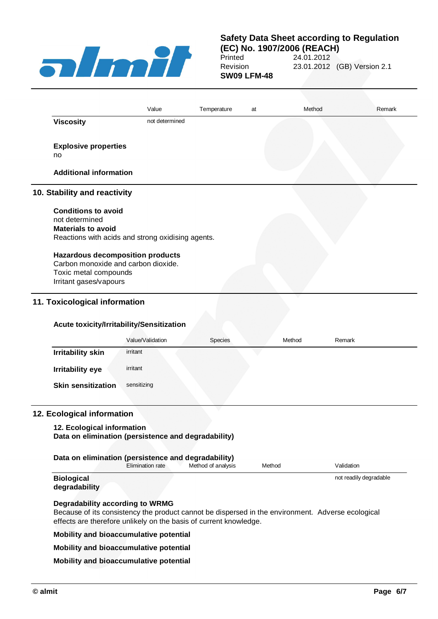

# **Safety Data Sheet according to Regulation**

**(EC) No. 1907/2006 (REACH)** 24.01.2012 Revision 23.01.2012 (GB) Version 2.1 **SW09 LFM-48**

|                                     | Value                                             | Temperature | at | Method | Remark |
|-------------------------------------|---------------------------------------------------|-------------|----|--------|--------|
| <b>Viscosity</b>                    | not determined                                    |             |    |        |        |
| <b>Explosive properties</b>         |                                                   |             |    |        |        |
| no                                  |                                                   |             |    |        |        |
| <b>Additional information</b>       |                                                   |             |    |        |        |
| 10. Stability and reactivity        |                                                   |             |    |        |        |
|                                     |                                                   |             |    |        |        |
| <b>Conditions to avoid</b>          |                                                   |             |    |        |        |
| not determined                      |                                                   |             |    |        |        |
| <b>Materials to avoid</b>           |                                                   |             |    |        |        |
|                                     | Reactions with acids and strong oxidising agents. |             |    |        |        |
|                                     |                                                   |             |    |        |        |
| Carbon monoxide and carbon dioxide. | <b>Hazardous decomposition products</b>           |             |    |        |        |
| Toxic metal compounds               |                                                   |             |    |        |        |

# **Acute toxicity/Irritability/Sensitization**

|                           | Value/Validation | Species | Method | Remark |
|---------------------------|------------------|---------|--------|--------|
| <b>Irritability skin</b>  | irritant         |         |        |        |
| <b>Irritability eye</b>   | irritant         |         |        |        |
| <b>Skin sensitization</b> | sensitizing      |         |        |        |

### **12. Ecological information**

# **12. Ecological information**

**Data on elimination (persistence and degradability)**

| Data on elimination (persistence and degradability) |                  |                    |        |                        |  |  |
|-----------------------------------------------------|------------------|--------------------|--------|------------------------|--|--|
|                                                     | Elimination rate | Method of analysis | Method | Validation             |  |  |
| <b>Biological</b><br>degradability                  |                  |                    |        | not readily degradable |  |  |

# **Degradability according to WRMG**

Because of its consistency the product cannot be dispersed in the environment. Adverse ecological effects are therefore unlikely on the basis of current knowledge.

**Mobility and bioaccumulative potential**

#### **Mobility and bioaccumulative potential**

**Mobility and bioaccumulative potential**